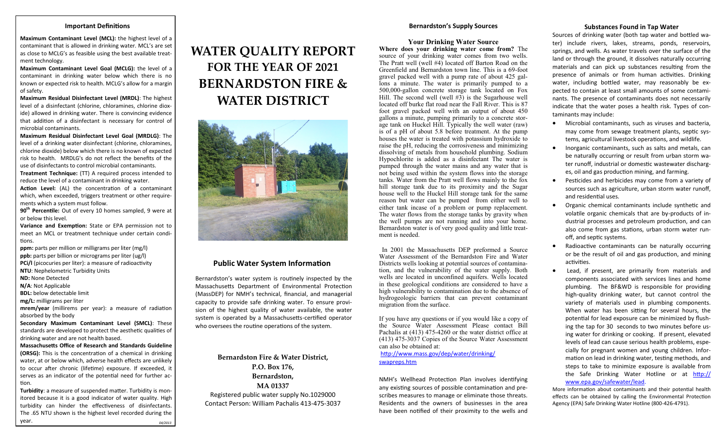### **Bernardston's Supply Sources**

# **Your Drinking Water Source**

**Where does your drinking water come from?** The source of your drinking water comes from two wells. The Pratt well (well #4) located off Barton Road on the Greenfield and Bernardston town line. This is a 69-foot gravel packed well with a pump rate of about 425 gallons a minute. The water is primarily pumped to a 500,000-gallon concrete storage tank located on Fox Hill. The second well (well  $#3$ ) is the Sugarhouse well located off burke flat road near the Fall River. This is 87 foot gravel packed well with an output of about 450 gallons a minute, pumping primarily to a concrete storage tank on Huckel Hill. Typically the well water (raw) is of a pH of about 5.8 before treatment. At the pump houses the water is treated with potassium hydroxide to raise the pH, reducing the corrosiveness and minimizing dissolving of metals from household plumbing. Sodium Hypochlorite is added as a disinfectant The water is pumped through the water mains and any water that is not being used within the system flows into the storage tanks. Water from the Pratt well flows mainly to the fox hill storage tank due to its proximity and the Sugar house well to the Huckel Hill storage tank for the same reason but water can be pumped from either well to either tank incase of a problem or pump replacement. The water flows from the storage tanks by gravity when the well pumps are not running and into your home. Bernardston water is of very good quality and little treatment is needed.

 In 2001 the Massachusetts DEP preformed a Source Water Assessment of the Bernardston Fire and Water Districts wells looking at potential sources of contamination, and the vulnerability of the water supply. Both wells are located in unconfined aquifers. Wells located in these geological conditions are considered to have a high vulnerability to contamination due to the absence of hydrogeologic barriers that can prevent contaminant migration from the surface.

If you have any questions or if you would like a copy of the Source Water Assessment Please contact Bill Pachalis at (413) 475-4260 or the water district office at (413) 475-3037 Copies of the Source Water Assessment can also be obtained at:

### [http://www.mass.gov/dep/water/drinking/](http://www.mass.gov/dep/water/drinking/swapreps.htm) [swapreps.htm](http://www.mass.gov/dep/water/drinking/swapreps.htm)

NMH's Wellhead Protection Plan involves identifying any existing sources of possible contamination and prescribes measures to manage or eliminate those threats. Residents and the owners of businesses in the area have been notified of their proximity to the wells and

## **Substances Found in Tap Water**

Sources of drinking water (both tap water and bottled water) include rivers, lakes, streams, ponds, reservoirs, springs, and wells. As water travels over the surface of the land or through the ground, it dissolves naturally occurring materials and can pick up substances resulting from the presence of animals or from human activities. Drinking water, including bottled water, may reasonably be expected to contain at least small amounts of some contaminants. The presence of contaminants does not necessarily indicate that the water poses a health risk. Types of contaminants may include:

- Microbial contaminants, such as viruses and bacteria, may come from sewage treatment plants, septic systems, agricultural livestock operations, and wildlife.
- Inorganic contaminants, such as salts and metals, can be naturally occurring or result from urban storm water runoff, industrial or domestic wastewater discharges, oil and gas production mining, and farming.
- Pesticides and herbicides may come from a variety of sources such as agriculture, urban storm water runoff, and residential uses.
- Organic chemical contaminants include synthetic and volatile organic chemicals that are by-products of industrial processes and petroleum production, and can also come from gas stations, urban storm water runoff, and septic systems.
- Radioactive contaminants can be naturally occurring or be the result of oil and gas production, and mining activities.
- Lead, if present, are primarily from materials and components associated with services lines and home plumbing. The BF&WD is responsible for providing high-quality drinking water, but cannot control the variety of materials used in plumbing components. When water has been sitting for several hours, the potential for lead exposure can be minimized by flushing the tap for 30 seconds to two minutes before using water for drinking or cooking. If present, elevated levels of lead can cause serious health problems, especially for pregnant women and young children. Information on lead in drinking water, testing methods, and steps to take to minimize exposure is available from the Safe Drinking Water Hotline or at [http://](http://www.epa.gov/safewater/lead) [www.epa.gov/safewater/lead.](http://www.epa.gov/safewater/lead)

More information about contaminants and their potential health effects can be obtained by calling the Environmental Protection Agency (EPA) Safe Drinking Water Hotline (800-426-4791).

# **Important Definitions**

**Maximum Contaminant Level (MCL):** the highest level of a contaminant that is allowed in drinking water. MCL's are set as close to MCLG's as feasible using the best available treatment technology.

**Maximum Contaminant Level Goal (MCLG):** the level of a contaminant in drinking water below which there is no known or expected risk to health. MCLG's allow for a margin of safety.

**Maximum Residual Disinfectant Level (MRDL)**: The highest level of a disinfectant (chlorine, chloramines, chlorine dioxide) allowed in drinking water. There is convincing evidence that addition of a disinfectant is necessary for control of microbial contaminants.

**Maximum Residual Disinfectant Level Goal (MRDLG)**: The level of a drinking water disinfectant (chlorine, chloramines, chlorine dioxide) below which there is no known of expected risk to health. MRDLG's do not reflect the benefits of the use of disinfectants to control microbial contaminants.

**Treatment Technique:** (TT) A required process intended to reduce the level of a contaminant in drinking water.

**Action Level:** (AL) the concentration of a contaminant which, when exceeded, triggers treatment or other requirements which a system must follow.

**90th Percentile:** Out of every 10 homes sampled, 9 were at or below this level.

**Variance and Exemption:** State or EPA permission not to meet an MCL or treatment technique under certain conditions.

**ppm:** parts per million or milligrams per liter (mg/l) **ppb:** parts per billion or micrograms per liter (ug/l) **PCi/l** (picocuries per liter): a measure of radioactivity

**NTU**: Nephelometric Turbidity Units

**ND:** None Detected

**N/A**: Not Applicable

**BDL:** below detectable limit

**mg/L:** milligrams per liter

**mrem/year** (millirems per year): a measure of radiation absorbed by the body

**Secondary Maximum Contaminant Level (SMCL)**: These standards are developed to protect the aesthetic qualities of drinking water and are not health based.

**Massachusetts Office of Research and Standards Guideline (ORSG):** This is the concentration of a chemical in drinking water, at or below which, adverse health effects are unlikely to occur after chronic (lifetime) exposure. If exceeded, it serves as an indicator of the potential need for further action.

**Turbidity**: a measure of suspended matter. Turbidity is monitored because it is a good indicator of water quality. High turbidity can hinder the effectiveness of disinfectants. The .65 NTU shown is the highest level recorded during the year. *04/2013*

# **WATER QUALITY REPORT FOR THE YEAR OF 2021 BERNARDSTON FIRE & WATER DISTRICT**



# **Public Water System Information**

Bernardston's water system is routinely inspected by the Massachusetts Department of Environmental Protection (MassDEP) for NMH's technical, financial, and managerial capacity to provide safe drinking water. To ensure provision of the highest quality of water available, the water system is operated by a Massachusetts-certified operator who oversees the routine operations of the system.

**Bernardston Fire & Water District, P.O. Box 176, Bernardston, MA 01337** Registered public water supply No.1029000 Contact Person: William Pachalis 413-475-3037